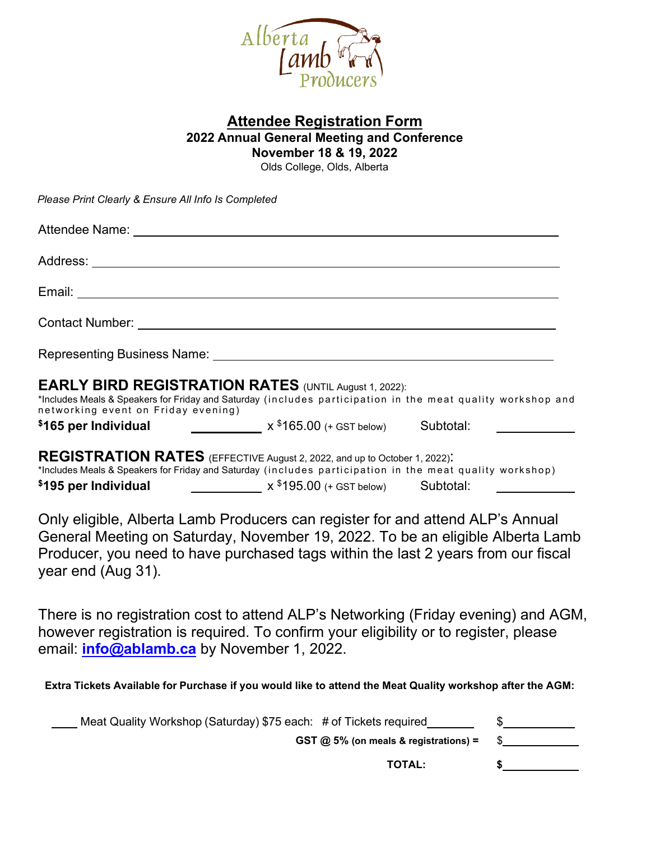

## **Attendee Registration Form 2022 Annual General Meeting and Conference**

**November 18 & 19, 2022** Olds College, Olds, Alberta

*Please Print Clearly & Ensure All Info Is Completed*

| Attendee Name: University of the Attendee Name:                                                                                                                                                                                                                             |                                         |  |    |
|-----------------------------------------------------------------------------------------------------------------------------------------------------------------------------------------------------------------------------------------------------------------------------|-----------------------------------------|--|----|
|                                                                                                                                                                                                                                                                             |                                         |  |    |
|                                                                                                                                                                                                                                                                             |                                         |  |    |
|                                                                                                                                                                                                                                                                             |                                         |  |    |
| Representing Business Name: Name: Name and Allen Contract of the Allen Contract of the Allen Contract of the Allen Contract of the Allen Contract of the Allen Contract of the Allen Contract of the Allen Contract of the All                                              |                                         |  |    |
| <b>EARLY BIRD REGISTRATION RATES</b> (UNTIL August 1, 2022):<br>*Includes Meals & Speakers for Friday and Saturday (includes participation in the meat quality workshop and<br>networking event on Friday evening)                                                          |                                         |  |    |
| $$165$ per Individual $x$ <sup>\$165.00</sup> (+ GST below) Subtotal:                                                                                                                                                                                                       |                                         |  |    |
| REGISTRATION RATES (EFFECTIVE August 2, 2022, and up to October 1, 2022).<br>*Includes Meals & Speakers for Friday and Saturday (includes participation in the meat quality workshop)<br>$x$ <sup>\$195.00</sup> (+ GST below) Subtotal:<br>\$195 per Individual            |                                         |  |    |
| Only eligible, Alberta Lamb Producers can register for and attend ALP's Annual<br>General Meeting on Saturday, November 19, 2022. To be an eligible Alberta Lamb<br>Producer, you need to have purchased tags within the last 2 years from our fiscal<br>year end (Aug 31). |                                         |  |    |
| There is no registration cost to attend ALP's Networking (Friday evening) and AGM,<br>however registration is required. To confirm your eligibility or to register, please<br>email: <i>info@ablamb.ca</i> by November 1, 2022.                                             |                                         |  |    |
| Extra Tickets Available for Purchase if you would like to attend the Meat Quality workshop after the AGM:                                                                                                                                                                   |                                         |  |    |
| Meat Quality Workshop (Saturday) \$75 each: # of Tickets required                                                                                                                                                                                                           |                                         |  |    |
|                                                                                                                                                                                                                                                                             | GST $@$ 5% (on meals & registrations) = |  |    |
|                                                                                                                                                                                                                                                                             | <b>TOTAL:</b>                           |  | \$ |